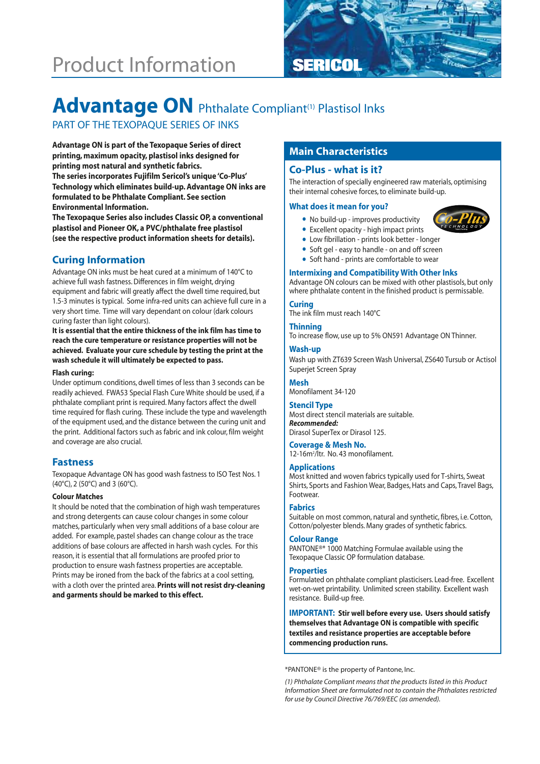# Product Information **SERICOL**



# Advantage ON Phthalate Compliant<sup>(1)</sup> Plastisol Inks

# PART OF THE TEXOPAQUE SERIES OF INKS

**Main Characteristics Advantage ON is part of the Texopaque Series of direct printing, maximum opacity, plastisol inks designed for printing most natural and synthetic fabrics. The series incorporates Fujifilm Sericol's unique 'Co-Plus' Technology which eliminates build-up. Advantage ON inks are formulated to be Phthalate Compliant. See section Environmental Information.** 

**The Texopaque Series also includes Classic OP, a conventional plastisol and Pioneer OK, a PVC/phthalate free plastisol (see the respective product information sheets for details).**

# **Curing Information**

Advantage ON inks must be heat cured at a minimum of 140°C to achieve full wash fastness. Differences in film weight, drying equipment and fabric will greatly affect the dwell time required, but 1.5-3 minutes is typical. Some infra-red units can achieve full cure in a very short time. Time will vary dependant on colour (dark colours curing faster than light colours).

**It is essential that the entire thickness of the ink film has time to reach the cure temperature or resistance properties will not be achieved. Evaluate your cure schedule by testing the print at the wash schedule it will ultimately be expected to pass.** 

#### **Flash curing:**

Under optimum conditions, dwell times of less than 3 seconds can be readily achieved. FWA53 Special Flash Cure White should be used, if a phthalate compliant print is required. Many factors affect the dwell time required for flash curing. These include the type and wavelength of the equipment used, and the distance between the curing unit and the print. Additional factors such as fabric and ink colour, film weight and coverage are also crucial.

## **Fastness**

Texopaque Advantage ON has good wash fastness to ISO Test Nos. 1 (40°C), 2 (50°C) and 3 (60°C).

#### **Colour Matches**

It should be noted that the combination of high wash temperatures and strong detergents can cause colour changes in some colour matches, particularly when very small additions of a base colour are added. For example, pastel shades can change colour as the trace additions of base colours are affected in harsh wash cycles. For this reason, it is essential that all formulations are proofed prior to production to ensure wash fastness properties are acceptable. Prints may be ironed from the back of the fabrics at a cool setting, with a cloth over the printed area. **Prints will not resist dry-cleaning and garments should be marked to this effect.**

# **Co-Plus - what is it?**

The interaction of specially engineered raw materials, optimising their internal cohesive forces, to eliminate build-up.

#### **What does it mean for you?**

- No build-up improves productivity
- Excellent opacity high impact prints
- Low fibrillation prints look better longer
- Soft gel easy to handle on and off screen
- Soft hand prints are comfortable to wear

#### **Intermixing and Compatibility With Other Inks**

Advantage ON colours can be mixed with other plastisols, but only where phthalate content in the finished product is permissable.

### **Curing**

The ink film must reach 140°C

#### **Thinning**

To increase flow, use up to 5% ON591 Advantage ON Thinner.

#### **Wash-up**

Wash up with ZT639 Screen Wash Universal, ZS640 Tursub or Actisol Superjet Screen Spray

# **Mesh**

Monofilament 34-120

#### **Stencil Type**

Most direct stencil materials are suitable. *Recommended:* Dirasol SuperTex or Dirasol 125.

### **Coverage & Mesh No.**

12-16m2 /ltr. No. 43 monofilament.

#### **Applications**

Most knitted and woven fabrics typically used for T-shirts, Sweat Shirts, Sports and Fashion Wear, Badges, Hats and Caps, Travel Bags, Footwear.

### **Fabrics**

Suitable on most common, natural and synthetic, fibres, i.e. Cotton, Cotton/polyester blends. Many grades of synthetic fabrics.

#### **Colour Range**

PANTONE®\* 1000 Matching Formulae available using the Texopaque Classic OP formulation database.

#### **Properties**

Formulated on phthalate compliant plasticisers. Lead-free. Excellent wet-on-wet printability. Unlimited screen stability. Excellent wash resistance. Build-up free.

**IMPORTANT: Stir well before every use. Users should satisfy themselves that Advantage ON is compatible with specific textiles and resistance properties are acceptable before commencing production runs.**

\*PANTONE® is the property of Pantone, Inc.

*(1) Phthalate Compliant means that the products listed in this Product Information Sheet are formulated not to contain the Phthalates restricted for use by Council Directive 76/769/EEC (as amended).*

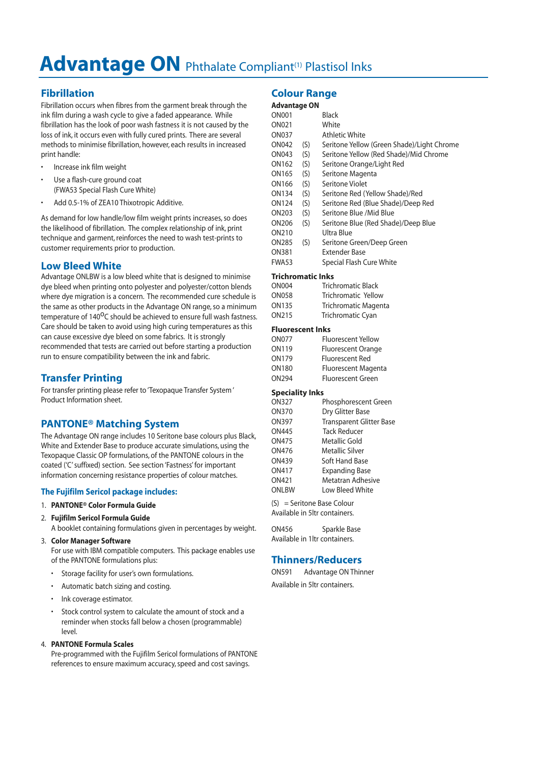# Advantage ON Phthalate Compliant<sup>(1)</sup> Plastisol Inks

# **Fibrillation**

Fibrillation occurs when fibres from the garment break through the ink film during a wash cycle to give a faded appearance. While fibrillation has the look of poor wash fastness it is not caused by the loss of ink, it occurs even with fully cured prints. There are several methods to minimise fibrillation, however, each results in increased print handle:

- Increase ink film weight
- Use a flash-cure ground coat (FWA53 Special Flash Cure White)
- Add 0.5-1% of ZEA10 Thixotropic Additive.

As demand for low handle/low film weight prints increases, so does the likelihood of fibrillation. The complex relationship of ink, print technique and garment, reinforces the need to wash test-prints to customer requirements prior to production.

# **Low Bleed White**

Advantage ONLBW is a low bleed white that is designed to minimise dye bleed when printing onto polyester and polyester/cotton blends where dye migration is a concern. The recommended cure schedule is the same as other products in the Advantage ON range, so a minimum temperature of 140<sup>o</sup>C should be achieved to ensure full wash fastness. Care should be taken to avoid using high curing temperatures as this can cause excessive dye bleed on some fabrics. It is strongly recommended that tests are carried out before starting a production run to ensure compatibility between the ink and fabric.

# **Transfer Printing**

For transfer printing please refer to 'Texopaque Transfer System ' Product Information sheet.

# **PANTONE® Matching System**

The Advantage ON range includes 10 Seritone base colours plus Black, White and Extender Base to produce accurate simulations, using the Texopaque Classic OP formulations, of the PANTONE colours in the coated ('C' suffixed) section. See section 'Fastness' for important information concerning resistance properties of colour matches.

## **The Fujifilm Sericol package includes:**

### 1. **PANTONE® Color Formula Guide**

- 2. **Fujifilm Sericol Formula Guide**
	- A booklet containing formulations given in percentages by weight.
- 3. **Color Manager Software**

For use with IBM compatible computers. This package enables use of the PANTONE formulations plus:

- Storage facility for user's own formulations.
- Automatic batch sizing and costing.
- Ink coverage estimator.
- Stock control system to calculate the amount of stock and a reminder when stocks fall below a chosen (programmable) level.

### 4. **PANTONE Formula Scales**

Pre-programmed with the Fujifilm Sericol formulations of PANTONE references to ensure maximum accuracy, speed and cost savings.

# **Colour Range**

### **Advantage ON**

| <b>ON001</b> |     | Black                                      |
|--------------|-----|--------------------------------------------|
| ON021        |     | White                                      |
| <b>ON037</b> |     | Athletic White                             |
| ON042        | (S) | Seritone Yellow (Green Shade)/Light Chrome |
| ON043        | (S) | Seritone Yellow (Red Shade)/Mid Chrome     |
| ON162        | (S) | Seritone Orange/Light Red                  |
| ON165        | (S) | Seritone Magenta                           |
| ON166        | (S) | Seritone Violet                            |
| ON134        | (S) | Seritone Red (Yellow Shade)/Red            |
| ON124        | (S) | Seritone Red (Blue Shade)/Deep Red         |
| ON203        | (S) | Seritone Blue /Mid Blue                    |
| ON206        | (S) | Seritone Blue (Red Shade)/Deep Blue        |
| ON210        |     | Ultra Blue                                 |
| ON285        | (S) | Seritone Green/Deep Green                  |
| ON381        |     | <b>Extender Base</b>                       |
| FWA53        |     | Special Flash Cure White                   |
|              |     |                                            |

#### **Trichromatic Inks**

| ON004 | <b>Trichromatic Black</b>   |
|-------|-----------------------------|
| ON058 | Trichromatic Yellow         |
| ON135 | <b>Trichromatic Magenta</b> |
| ON215 | <b>Trichromatic Cyan</b>    |
|       |                             |

#### **Fluorescent Inks**

| ON077 | <b>Fluorescent Yellow</b> |
|-------|---------------------------|
| ON119 | Fluorescent Orange        |
| ON179 | <b>Fluorescent Red</b>    |
| ON180 | Fluorescent Magenta       |
| ON294 | <b>Fluorescent Green</b>  |
|       |                           |

#### **Speciality Inks**

| ON327 | Phosphorescent Green            |
|-------|---------------------------------|
| ON370 | Dry Glitter Base                |
| ON397 | <b>Transparent Glitter Base</b> |
| ON445 | <b>Tack Reducer</b>             |
| ON475 | Metallic Gold                   |
| ON476 | Metallic Silver                 |
| ON439 | Soft Hand Base                  |
| ON417 | <b>Expanding Base</b>           |
| ON421 | <b>Metatran Adhesive</b>        |
| ONLBW | Low Bleed White                 |
|       |                                 |

```
(S) = Seritone Base Colour
Available in 5ltr containers.
```

| ON456 | Sparkle Base                  |
|-------|-------------------------------|
|       | Available in 1ltr containers. |

# **Thinners/Reducers**

ON591 Advantage ON Thinner Available in 5ltr containers.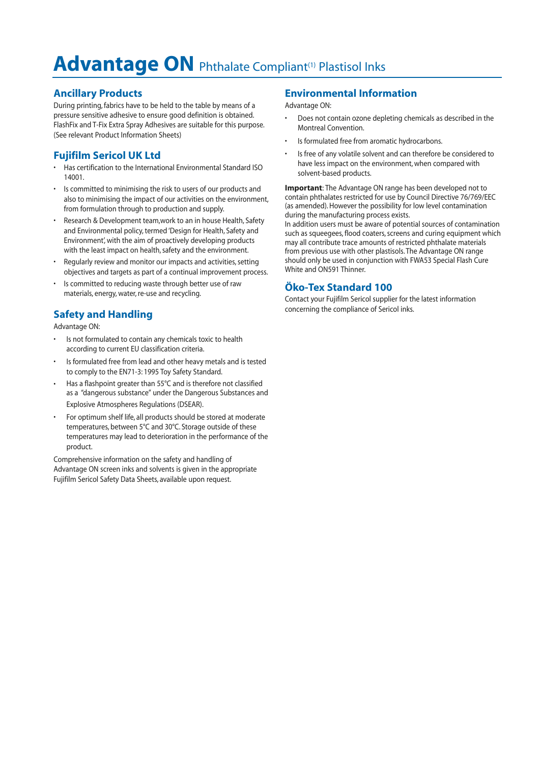# Advantage ON Phthalate Compliant<sup>(1)</sup> Plastisol Inks

# **Ancillary Products**

During printing, fabrics have to be held to the table by means of a pressure sensitive adhesive to ensure good definition is obtained. FlashFix and T-Fix Extra Spray Adhesives are suitable for this purpose. (See relevant Product Information Sheets)

# **Fujifilm Sericol UK Ltd**

- Has certification to the International Environmental Standard ISO 14001.
- Is committed to minimising the risk to users of our products and also to minimising the impact of our activities on the environment, from formulation through to production and supply.
- Research & Development team,work to an in house Health, Safety and Environmental policy, termed 'Design for Health, Safety and Environment', with the aim of proactively developing products with the least impact on health, safety and the environment.
- Regularly review and monitor our impacts and activities, setting objectives and targets as part of a continual improvement process.
- Is committed to reducing waste through better use of raw materials, energy, water, re-use and recycling.

# **Safety and Handling**

Advantage ON:

- Is not formulated to contain any chemicals toxic to health according to current EU classification criteria.
- Is formulated free from lead and other heavy metals and is tested to comply to the EN71-3: 1995 Toy Safety Standard.
- Has a flashpoint greater than 55°C and is therefore not classified as a "dangerous substance" under the Dangerous Substances and Explosive Atmospheres Regulations (DSEAR).
- For optimum shelf life, all products should be stored at moderate temperatures, between 5°C and 30°C. Storage outside of these temperatures may lead to deterioration in the performance of the product.

Comprehensive information on the safety and handling of Advantage ON screen inks and solvents is given in the appropriate Fujifilm Sericol Safety Data Sheets, available upon request.

# **Environmental Information**

Advantage ON:

- Does not contain ozone depleting chemicals as described in the Montreal Convention.
- Is formulated free from aromatic hydrocarbons.
- Is free of any volatile solvent and can therefore be considered to have less impact on the environment, when compared with solvent-based products.

**Important**: The Advantage ON range has been developed not to contain phthalates restricted for use by Council Directive 76/769/EEC (as amended). However the possibility for low level contamination during the manufacturing process exists.

In addition users must be aware of potential sources of contamination such as squeegees, flood coaters, screens and curing equipment which may all contribute trace amounts of restricted phthalate materials from previous use with other plastisols. The Advantage ON range should only be used in conjunction with FWA53 Special Flash Cure White and ON591 Thinner.

# **Öko-Tex Standard 100**

Contact your Fujifilm Sericol supplier for the latest information concerning the compliance of Sericol inks.